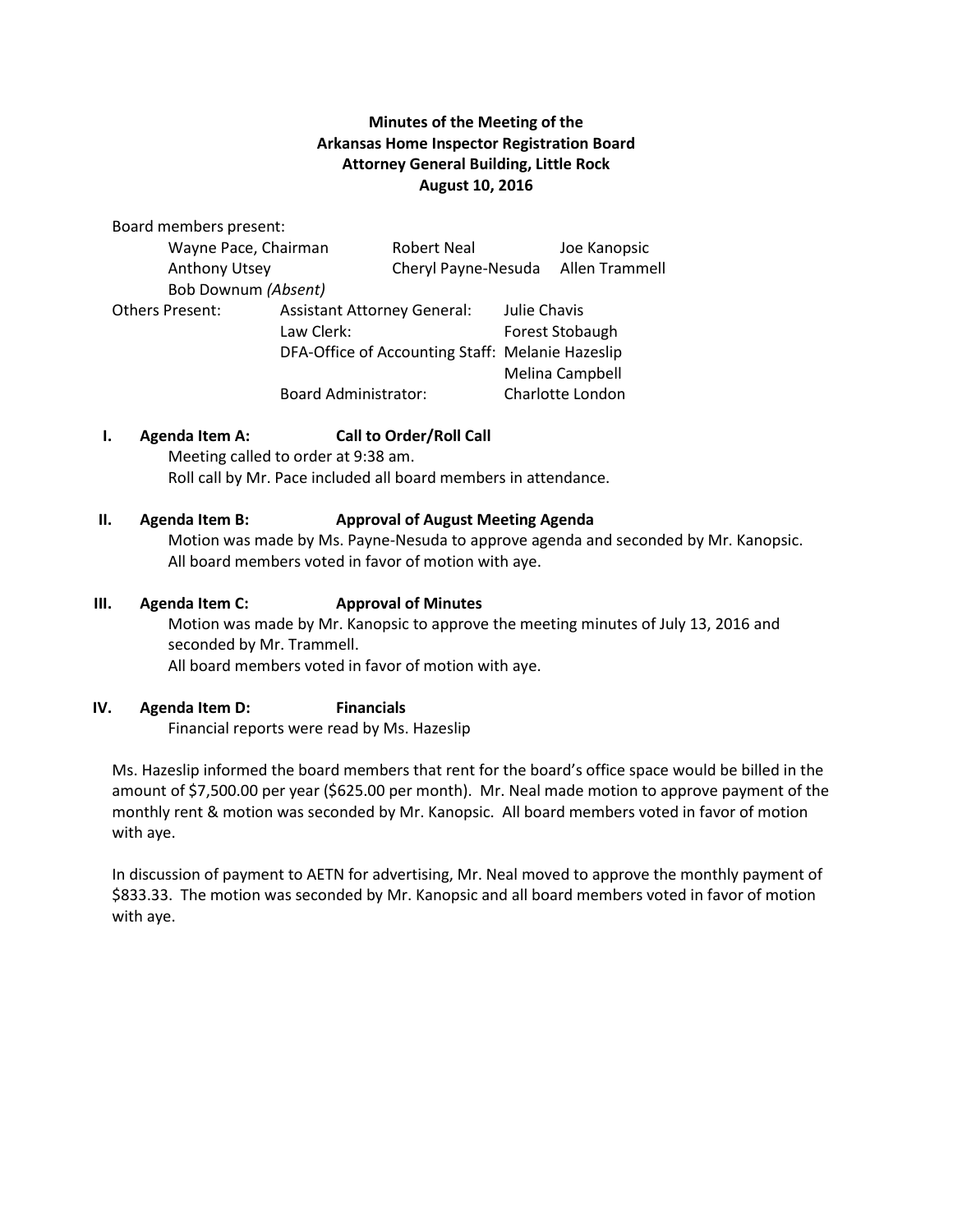# **Minutes of the Meeting of the Arkansas Home Inspector Registration Board Attorney General Building, Little Rock August 10, 2016**

Board members present:

| Wayne Pace, Chairman   |                                                  | <b>Robert Neal</b>  |                 | Joe Kanopsic     |
|------------------------|--------------------------------------------------|---------------------|-----------------|------------------|
| Anthony Utsey          |                                                  | Cheryl Payne-Nesuda |                 | Allen Trammell   |
| Bob Downum (Absent)    |                                                  |                     |                 |                  |
| <b>Others Present:</b> | <b>Assistant Attorney General:</b>               |                     | Julie Chavis    |                  |
|                        | Law Clerk:                                       |                     | Forest Stobaugh |                  |
|                        | DFA-Office of Accounting Staff: Melanie Hazeslip |                     |                 |                  |
|                        |                                                  |                     |                 | Melina Campbell  |
|                        | <b>Board Administrator:</b>                      |                     |                 | Charlotte London |

## **I. Agenda Item A: Call to Order/Roll Call**

Meeting called to order at 9:38 am. Roll call by Mr. Pace included all board members in attendance.

### **II. Agenda Item B: Approval of August Meeting Agenda**

 Motion was made by Ms. Payne-Nesuda to approve agenda and seconded by Mr. Kanopsic. All board members voted in favor of motion with aye.

#### **III. Agenda Item C: Approval of Minutes**

Motion was made by Mr. Kanopsic to approve the meeting minutes of July 13, 2016 and seconded by Mr. Trammell. All board members voted in favor of motion with aye.

### **IV. Agenda Item D: Financials**

Financial reports were read by Ms. Hazeslip

Ms. Hazeslip informed the board members that rent for the board's office space would be billed in the amount of \$7,500.00 per year (\$625.00 per month). Mr. Neal made motion to approve payment of the monthly rent & motion was seconded by Mr. Kanopsic. All board members voted in favor of motion with aye.

In discussion of payment to AETN for advertising, Mr. Neal moved to approve the monthly payment of \$833.33. The motion was seconded by Mr. Kanopsic and all board members voted in favor of motion with aye.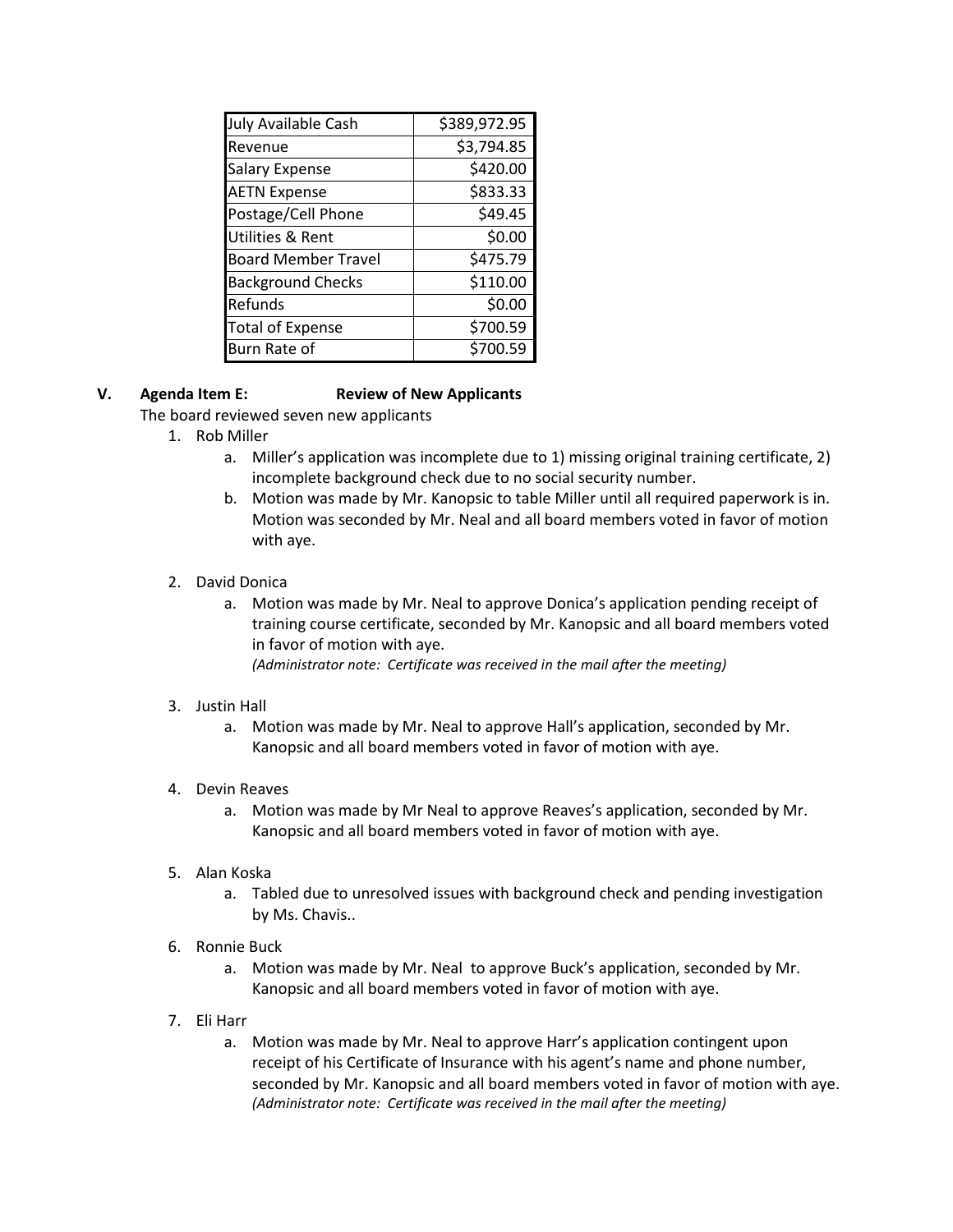| July Available Cash         | \$389,972.95 |  |  |
|-----------------------------|--------------|--|--|
| <b>Revenue</b>              | \$3,794.85   |  |  |
| <b>Salary Expense</b>       | \$420.00     |  |  |
| <b>AETN Expense</b>         | \$833.33     |  |  |
| Postage/Cell Phone          | \$49.45      |  |  |
| <b>Utilities &amp; Rent</b> | \$0.00       |  |  |
| <b>Board Member Travel</b>  | \$475.79     |  |  |
| <b>Background Checks</b>    | \$110.00     |  |  |
| Refunds                     | \$0.00       |  |  |
| <b>Total of Expense</b>     | \$700.59     |  |  |
| Burn Rate of                | \$700.59     |  |  |

## **V. Agenda Item E: Review of New Applicants**

The board reviewed seven new applicants

- 1. Rob Miller
	- a. Miller's application was incomplete due to 1) missing original training certificate, 2) incomplete background check due to no social security number.
	- b. Motion was made by Mr. Kanopsic to table Miller until all required paperwork is in. Motion was seconded by Mr. Neal and all board members voted in favor of motion with aye.
- 2. David Donica
	- a. Motion was made by Mr. Neal to approve Donica's application pending receipt of training course certificate, seconded by Mr. Kanopsic and all board members voted in favor of motion with aye. *(Administrator note: Certificate was received in the mail after the meeting)*
	-
- 3. Justin Hall
	- a. Motion was made by Mr. Neal to approve Hall's application, seconded by Mr. Kanopsic and all board members voted in favor of motion with aye.
- 4. Devin Reaves
	- a. Motion was made by Mr Neal to approve Reaves's application, seconded by Mr. Kanopsic and all board members voted in favor of motion with aye.
- 5. Alan Koska
	- a. Tabled due to unresolved issues with background check and pending investigation by Ms. Chavis..
- 6. Ronnie Buck
	- a. Motion was made by Mr. Neal to approve Buck's application, seconded by Mr. Kanopsic and all board members voted in favor of motion with aye.
- 7. Eli Harr
	- a. Motion was made by Mr. Neal to approve Harr's application contingent upon receipt of his Certificate of Insurance with his agent's name and phone number, seconded by Mr. Kanopsic and all board members voted in favor of motion with aye. *(Administrator note: Certificate was received in the mail after the meeting)*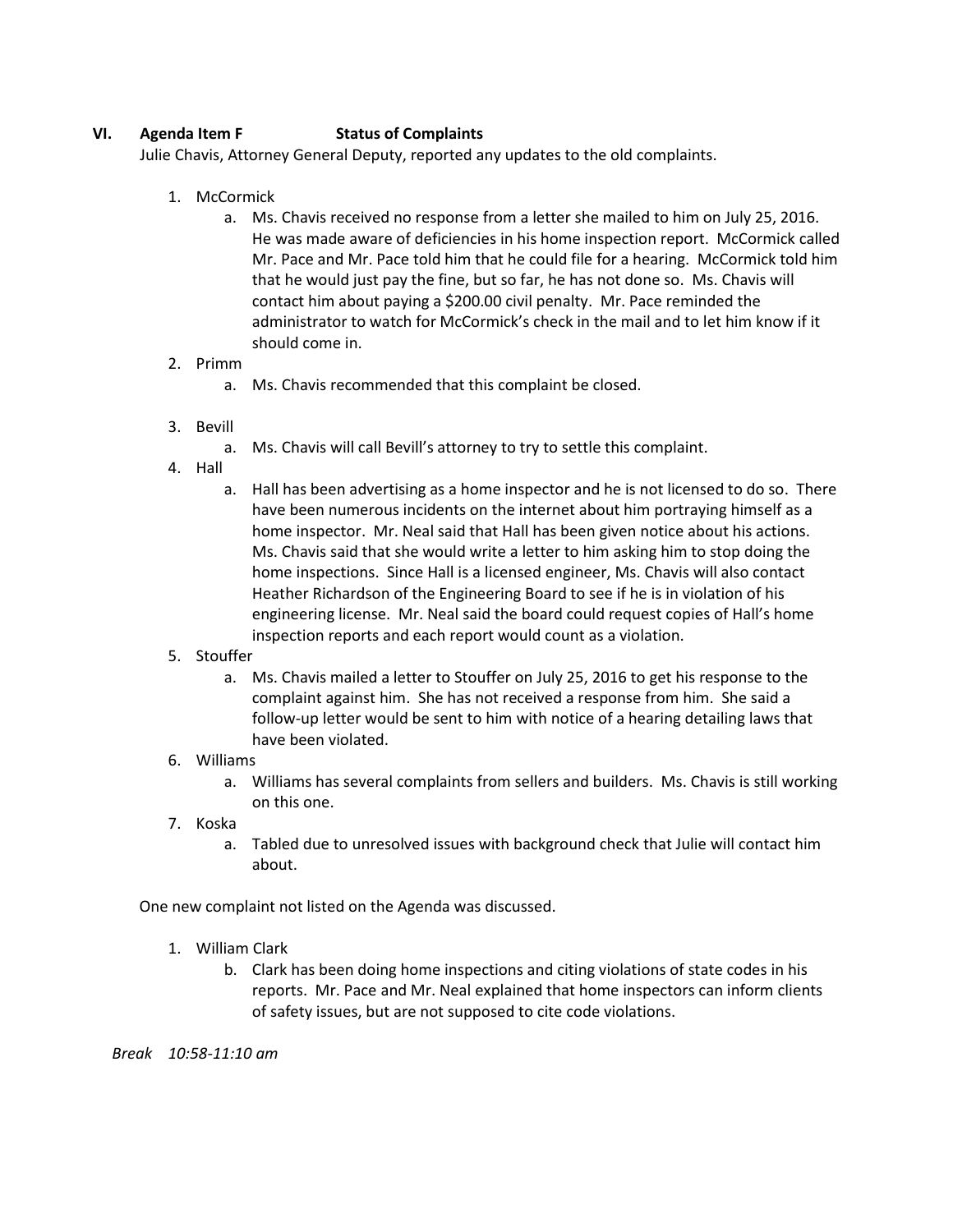## **VI. Agenda Item F Status of Complaints**

Julie Chavis, Attorney General Deputy, reported any updates to the old complaints.

- 1. McCormick
	- a. Ms. Chavis received no response from a letter she mailed to him on July 25, 2016. He was made aware of deficiencies in his home inspection report. McCormick called Mr. Pace and Mr. Pace told him that he could file for a hearing. McCormick told him that he would just pay the fine, but so far, he has not done so. Ms. Chavis will contact him about paying a \$200.00 civil penalty. Mr. Pace reminded the administrator to watch for McCormick's check in the mail and to let him know if it should come in.

### 2. Primm

- a. Ms. Chavis recommended that this complaint be closed.
- 3. Bevill
	- a. Ms. Chavis will call Bevill's attorney to try to settle this complaint.
- 4. Hall
	- a. Hall has been advertising as a home inspector and he is not licensed to do so. There have been numerous incidents on the internet about him portraying himself as a home inspector. Mr. Neal said that Hall has been given notice about his actions. Ms. Chavis said that she would write a letter to him asking him to stop doing the home inspections. Since Hall is a licensed engineer, Ms. Chavis will also contact Heather Richardson of the Engineering Board to see if he is in violation of his engineering license. Mr. Neal said the board could request copies of Hall's home inspection reports and each report would count as a violation.
- 5. Stouffer
	- a. Ms. Chavis mailed a letter to Stouffer on July 25, 2016 to get his response to the complaint against him. She has not received a response from him. She said a follow-up letter would be sent to him with notice of a hearing detailing laws that have been violated.

### 6. Williams

- a. Williams has several complaints from sellers and builders. Ms. Chavis is still working on this one.
- 7. Koska
	- a. Tabled due to unresolved issues with background check that Julie will contact him about.

One new complaint not listed on the Agenda was discussed.

- 1. William Clark
	- b. Clark has been doing home inspections and citing violations of state codes in his reports. Mr. Pace and Mr. Neal explained that home inspectors can inform clients of safety issues, but are not supposed to cite code violations.

*Break 10:58-11:10 am*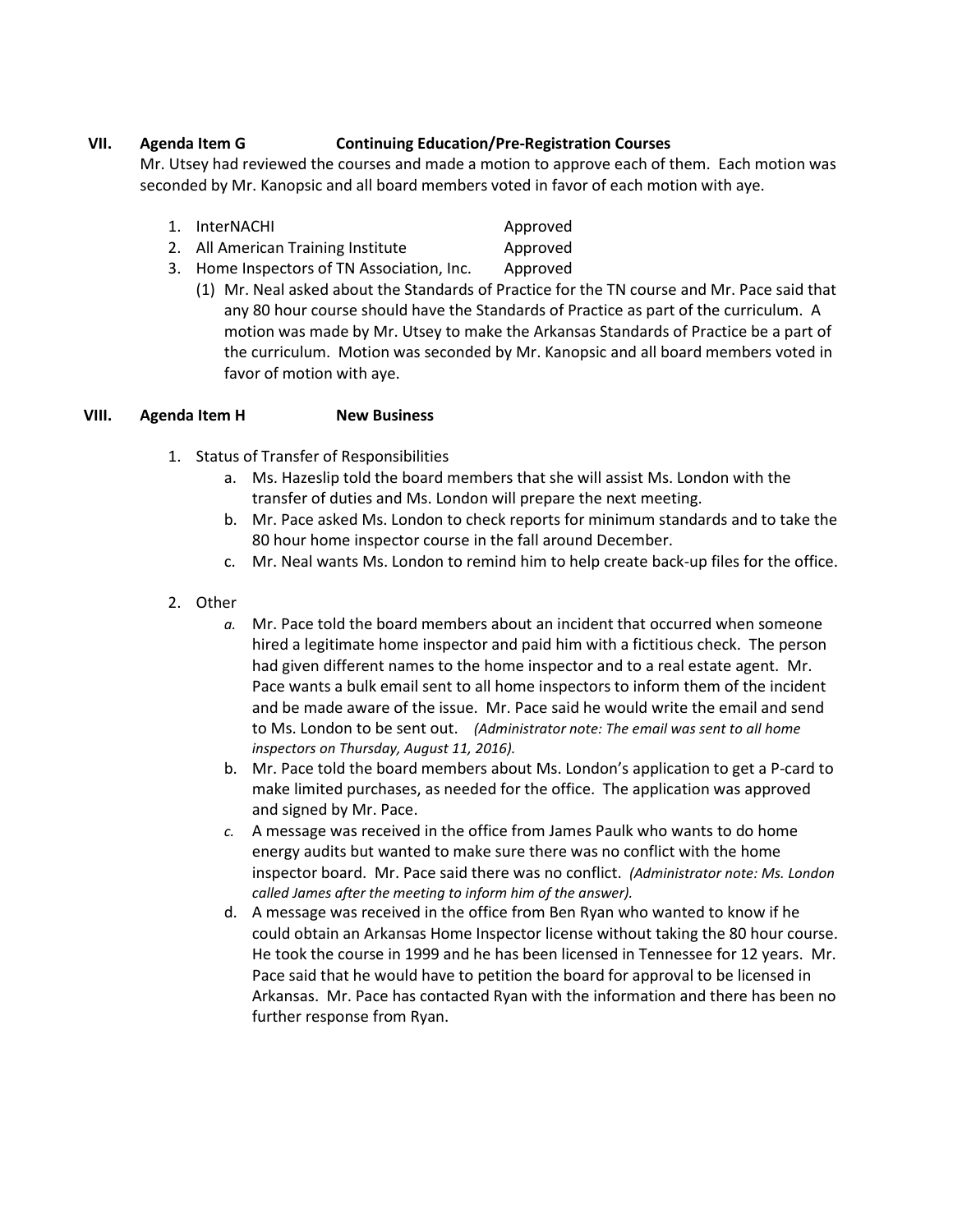## **VII. Agenda Item G Continuing Education/Pre-Registration Courses**

Mr. Utsey had reviewed the courses and made a motion to approve each of them. Each motion was seconded by Mr. Kanopsic and all board members voted in favor of each motion with aye.

- 1. InterNACHI Approved
- 2. All American Training Institute **Approved**
- 3. Home Inspectors of TN Association, Inc. Approved
	- (1) Mr. Neal asked about the Standards of Practice for the TN course and Mr. Pace said that any 80 hour course should have the Standards of Practice as part of the curriculum. A motion was made by Mr. Utsey to make the Arkansas Standards of Practice be a part of the curriculum. Motion was seconded by Mr. Kanopsic and all board members voted in favor of motion with aye.

## **VIII. Agenda Item H New Business**

- 1. Status of Transfer of Responsibilities
	- a. Ms. Hazeslip told the board members that she will assist Ms. London with the transfer of duties and Ms. London will prepare the next meeting.
	- b. Mr. Pace asked Ms. London to check reports for minimum standards and to take the 80 hour home inspector course in the fall around December.
	- c. Mr. Neal wants Ms. London to remind him to help create back-up files for the office.
- 2. Other
	- *a.* Mr. Pace told the board members about an incident that occurred when someone hired a legitimate home inspector and paid him with a fictitious check. The person had given different names to the home inspector and to a real estate agent. Mr. Pace wants a bulk email sent to all home inspectors to inform them of the incident and be made aware of the issue. Mr. Pace said he would write the email and send to Ms. London to be sent out. *(Administrator note: The email was sent to all home inspectors on Thursday, August 11, 2016).*
	- b. Mr. Pace told the board members about Ms. London's application to get a P-card to make limited purchases, as needed for the office. The application was approved and signed by Mr. Pace.
	- *c.* A message was received in the office from James Paulk who wants to do home energy audits but wanted to make sure there was no conflict with the home inspector board. Mr. Pace said there was no conflict. *(Administrator note: Ms. London called James after the meeting to inform him of the answer).*
	- d. A message was received in the office from Ben Ryan who wanted to know if he could obtain an Arkansas Home Inspector license without taking the 80 hour course. He took the course in 1999 and he has been licensed in Tennessee for 12 years. Mr. Pace said that he would have to petition the board for approval to be licensed in Arkansas. Mr. Pace has contacted Ryan with the information and there has been no further response from Ryan.